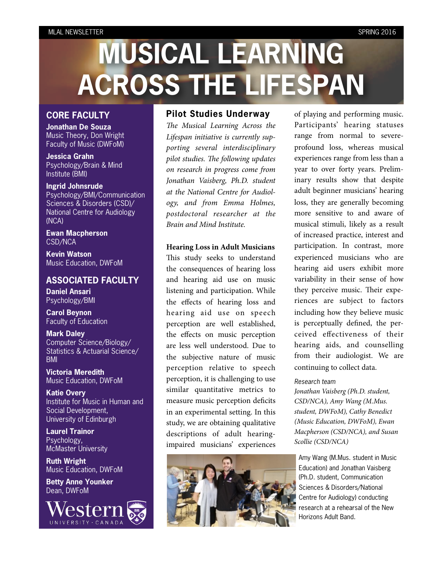# **MUSICAL LEARNING ACROSS THE LIFESPAN**

#### **CORE FACULTY**

**Jonathan De Souza** Music Theory, Don Wright Faculty of Music (DWFoM)

**Jessica Grahn** Psychology/Brain & Mind Institute (BMI)

**Ingrid Johnsrude** Psychology/BMI/Communication Sciences & Disorders (CSD)/ National Centre for Audiology (NCA)

**Ewan Macpherson** CSD/NCA

**Kevin Watson** Music Education, DWFoM

#### **ASSOCIATED FACULTY**

**Daniel Ansari** Psychology/BMI

**Carol Beynon** Faculty of Education

**Mark Daley** Computer Science/Biology/ Statistics & Actuarial Science/ BMI

**Victoria Meredith** Music Education, DWFoM

**Katie Overy** Institute for Music in Human and Social Development, University of Edinburgh

**Laurel Trainor** Psychology, McMaster University

**Ruth Wright** Music Education, DWFoM

**Betty Anne Younker** Dean, DWFoM



#### **Pilot Studies Underway**

T*e Musical Learning Across the Lifespan initiative is currently supporting several interdisciplinary pilot studies.* T*e following updates on research in progress come from Jonathan Vaisberg, Ph.D. student at the National Centre for Audiology, and from Emma Holmes, postdoctoral researcher at the Brain and Mind Institute.*

#### **Hearing Loss in Adult Musicians**

This study seeks to understand the consequences of hearing loss and hearing aid use on music listening and participation. While the effects of hearing loss and hearing aid use on speech perception are well established, the effects on music perception are less well understood. Due to the subjective nature of music perception relative to speech perception, it is challenging to use similar quantitative metrics to measure music perception deficits in an experimental setting. In this study, we are obtaining qualitative descriptions of adult hearingimpaired musicians' experiences



of playing and performing music. Participants' hearing statuses range from normal to severeprofound loss, whereas musical experiences range from less than a year to over forty years. Preliminary results show that despite adult beginner musicians' hearing loss, they are generally becoming more sensitive to and aware of musical stimuli, likely as a result of increased practice, interest and participation. In contrast, more experienced musicians who are hearing aid users exhibit more variability in their sense of how they perceive music. Their experiences are subject to factors including how they believe music is perceptually defined, the perceived effectiveness of their hearing aids, and counselling from their audiologist. We are continuing to collect data.

#### *Research team*

*Jonathan Vaisberg (Ph.D. student, CSD/NCA), Amy Wang (M.Mus. student, DWFoM), Cathy Benedict (Music Education, DWFoM), Ewan Macpherson (CSD/NCA), and Susan Scollie (CSD/NCA)*

Amy Wang (M.Mus. student in Music Education) and Jonathan Vaisberg (Ph.D. student, Communication Sciences & Disorders/National Centre for Audiology) conducting research at a rehearsal of the New Horizons Adult Band.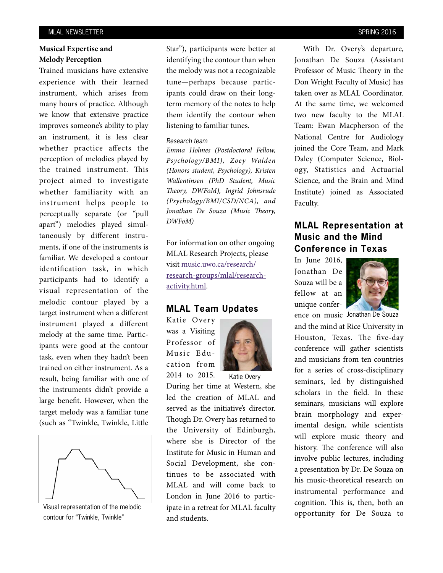#### **Musical Expertise and Melody Perception**

Trained musicians have extensive experience with their learned instrument, which arises from many hours of practice. Although we know that extensive practice improves someone's ability to play an instrument, it is less clear whether practice affects the perception of melodies played by the trained instrument. This project aimed to investigate whether familiarity with an instrument helps people to perceptually separate (or "pull apart") melodies played simultaneously by different instruments, if one of the instruments is familiar. We developed a contour identification task, in which participants had to identify a visual representation of the melodic contour played by a target instrument when a different instrument played a different melody at the same time. Participants were good at the contour task, even when they hadn't been trained on either instrument. As a result, being familiar with one of the instruments didn't provide a large benefit. However, when the target melody was a familiar tune (such as "Twinkle, Twinkle, Little



Visual representation of the melodic contour for "Twinkle, Twinkle"

Star"), participants were better at identifying the contour than when the melody was not a recognizable tune—perhaps because participants could draw on their longterm memory of the notes to help them identify the contour when listening to familiar tunes.

#### *Research team*

*Emma Holmes (Postdoctoral Fellow, Psychology/BMI), Zoey Walden (Honors student, Psychology), Kristen Wallentinsen (PhD Student, Music*  T*eory, DWFoM), Ingrid Johnsrude (Psychology/BMI/CSD/NCA), and Jonathan De Souza (Music Theory, DWFoM)*

For information on other ongoing MLAL Research Projects, please visit [music.uwo.ca/research/](http://music.uwo.ca/research/research-groups/mlal/research-activity.html) [research-groups/mlal/research](http://music.uwo.ca/research/research-groups/mlal/research-activity.html)[activity.html.](http://music.uwo.ca/research/research-groups/mlal/research-activity.html)

#### **MLAL Team Updates**

Katie Overy was a Visiting Professor of Music Education from 2014 to 2015.



Katie Overy

During her time at Western, she led the creation of MLAL and served as the initiative's director. Though Dr. Overy has returned to the University of Edinburgh, where she is Director of the Institute for Music in Human and Social Development, she continues to be associated with MLAL and will come back to London in June 2016 to participate in a retreat for MLAL faculty and students.

With Dr. Overy's departure, Jonathan De Souza (Assistant Professor of Music Theory in the Don Wright Faculty of Music) has taken over as MLAL Coordinator. At the same time, we welcomed two new faculty to the MLAL Team: Ewan Macpherson of the National Centre for Audiology joined the Core Team, and Mark Daley (Computer Science, Biology, Statistics and Actuarial Science, and the Brain and Mind Institute) joined as Associated Faculty.

### **MLAL Representation at Music and the Mind Conference in Texas**

In June 2016, Jonathan De Souza will be a fellow at an unique confer-



ence on music Jonathan De Souza

and the mind at Rice University in Houston, Texas. The five-day conference will gather scientists and musicians from ten countries for a series of cross-disciplinary seminars, led by distinguished scholars in the field. In these seminars, musicians will explore brain morphology and experimental design, while scientists will explore music theory and history. The conference will also involve public lectures, including a presentation by Dr. De Souza on his music-theoretical research on instrumental performance and cognition. This is, then, both an opportunity for De Souza to